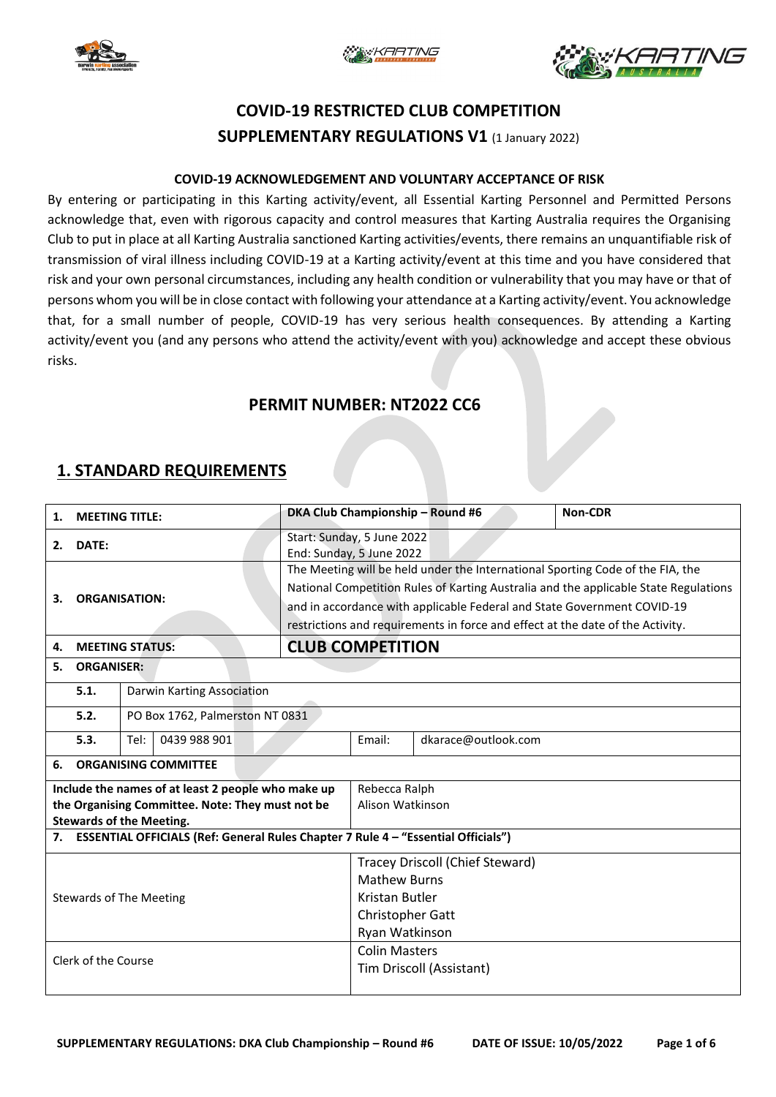





# **COVID-19 RESTRICTED CLUB COMPETITION SUPPLEMENTARY REGULATIONS V1** (1 January 2022)

#### **COVID-19 ACKNOWLEDGEMENT AND VOLUNTARY ACCEPTANCE OF RISK**

By entering or participating in this Karting activity/event, all Essential Karting Personnel and Permitted Persons acknowledge that, even with rigorous capacity and control measures that Karting Australia requires the Organising Club to put in place at all Karting Australia sanctioned Karting activities/events, there remains an unquantifiable risk of transmission of viral illness including COVID-19 at a Karting activity/event at this time and you have considered that risk and your own personal circumstances, including any health condition or vulnerability that you may have or that of persons whom you will be in close contact with following your attendance at a Karting activity/event. You acknowledge that, for a small number of people, COVID-19 has very serious health consequences. By attending a Karting activity/event you (and any persons who attend the activity/event with you) acknowledge and accept these obvious risks.

### **PERMIT NUMBER: NT2022 CC6**

### **1. STANDARD REQUIREMENTS**

| <b>MEETING TITLE:</b><br>1.                                                          |                                                      |                                 |  |                                                                                | DKA Club Championship - Round #6                                               | Non-CDR                                                                              |                                 |  |  |  |
|--------------------------------------------------------------------------------------|------------------------------------------------------|---------------------------------|--|--------------------------------------------------------------------------------|--------------------------------------------------------------------------------|--------------------------------------------------------------------------------------|---------------------------------|--|--|--|
| DATE:<br>2.                                                                          |                                                      |                                 |  |                                                                                | Start: Sunday, 5 June 2022<br>End: Sunday, 5 June 2022                         |                                                                                      |                                 |  |  |  |
|                                                                                      |                                                      |                                 |  |                                                                                | The Meeting will be held under the International Sporting Code of the FIA, the |                                                                                      |                                 |  |  |  |
|                                                                                      |                                                      |                                 |  |                                                                                |                                                                                | National Competition Rules of Karting Australia and the applicable State Regulations |                                 |  |  |  |
| З.                                                                                   | <b>ORGANISATION:</b><br><b>MEETING STATUS:</b><br>4. |                                 |  | and in accordance with applicable Federal and State Government COVID-19        |                                                                                |                                                                                      |                                 |  |  |  |
|                                                                                      |                                                      |                                 |  | restrictions and requirements in force and effect at the date of the Activity. |                                                                                |                                                                                      |                                 |  |  |  |
|                                                                                      |                                                      |                                 |  | <b>CLUB COMPETITION</b>                                                        |                                                                                |                                                                                      |                                 |  |  |  |
| <b>ORGANISER:</b><br>5.                                                              |                                                      |                                 |  |                                                                                |                                                                                |                                                                                      |                                 |  |  |  |
|                                                                                      | 5.1.                                                 | Darwin Karting Association      |  |                                                                                |                                                                                |                                                                                      |                                 |  |  |  |
|                                                                                      | 5.2.                                                 | PO Box 1762, Palmerston NT 0831 |  |                                                                                |                                                                                |                                                                                      |                                 |  |  |  |
|                                                                                      | 5.3.                                                 | 0439 988 901<br>Tel:            |  |                                                                                | Email:                                                                         | dkarace@outlook.com                                                                  |                                 |  |  |  |
| 6.                                                                                   | <b>ORGANISING COMMITTEE</b>                          |                                 |  |                                                                                |                                                                                |                                                                                      |                                 |  |  |  |
| Include the names of at least 2 people who make up                                   |                                                      |                                 |  |                                                                                |                                                                                | Rebecca Ralph                                                                        |                                 |  |  |  |
| the Organising Committee. Note: They must not be                                     |                                                      |                                 |  |                                                                                |                                                                                | Alison Watkinson                                                                     |                                 |  |  |  |
| <b>Stewards of the Meeting.</b>                                                      |                                                      |                                 |  |                                                                                |                                                                                |                                                                                      |                                 |  |  |  |
| 7. ESSENTIAL OFFICIALS (Ref: General Rules Chapter 7 Rule 4 - "Essential Officials") |                                                      |                                 |  |                                                                                |                                                                                |                                                                                      |                                 |  |  |  |
|                                                                                      |                                                      |                                 |  |                                                                                |                                                                                |                                                                                      | Tracey Driscoll (Chief Steward) |  |  |  |
|                                                                                      |                                                      |                                 |  |                                                                                |                                                                                | <b>Mathew Burns</b>                                                                  |                                 |  |  |  |
| <b>Stewards of The Meeting</b>                                                       |                                                      |                                 |  |                                                                                | Kristan Butler                                                                 |                                                                                      |                                 |  |  |  |
|                                                                                      |                                                      |                                 |  |                                                                                |                                                                                | Christopher Gatt                                                                     |                                 |  |  |  |
|                                                                                      |                                                      |                                 |  |                                                                                |                                                                                | Ryan Watkinson                                                                       |                                 |  |  |  |
| Clerk of the Course                                                                  |                                                      |                                 |  |                                                                                | <b>Colin Masters</b>                                                           |                                                                                      |                                 |  |  |  |
|                                                                                      |                                                      |                                 |  |                                                                                | Tim Driscoll (Assistant)                                                       |                                                                                      |                                 |  |  |  |
|                                                                                      |                                                      |                                 |  |                                                                                |                                                                                |                                                                                      |                                 |  |  |  |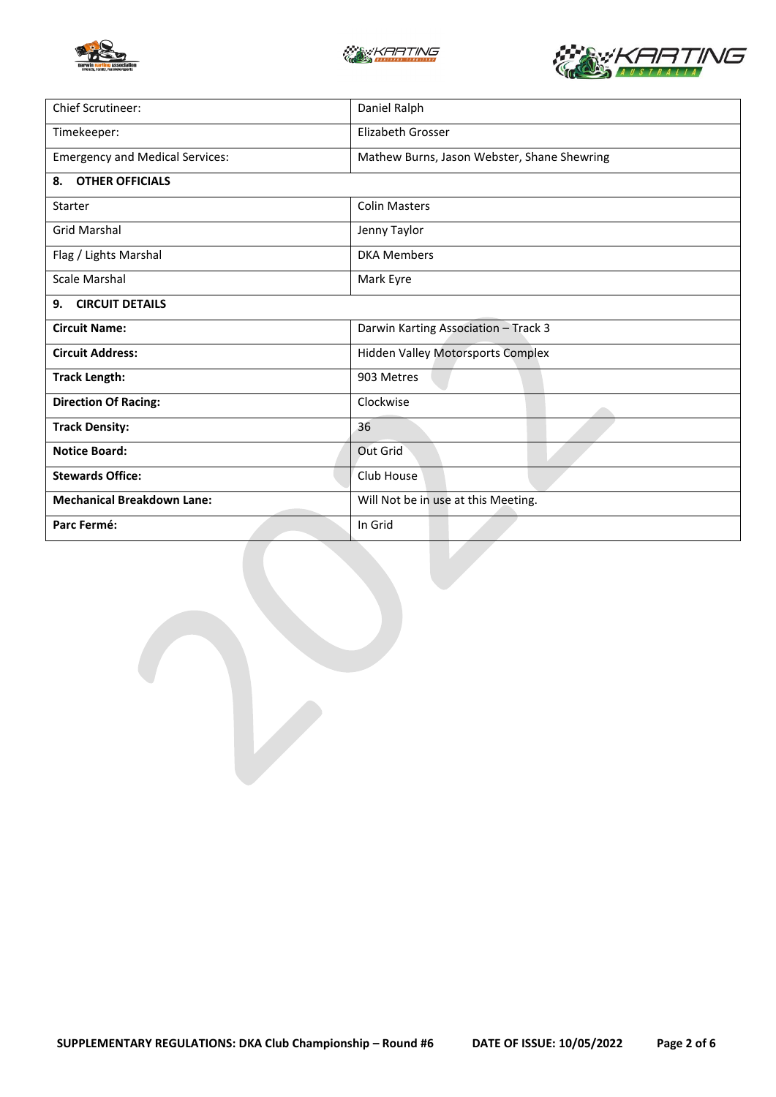





| Chief Scrutineer:                      | Daniel Ralph                                |  |  |
|----------------------------------------|---------------------------------------------|--|--|
| Timekeeper:                            | <b>Elizabeth Grosser</b>                    |  |  |
| <b>Emergency and Medical Services:</b> | Mathew Burns, Jason Webster, Shane Shewring |  |  |
| <b>OTHER OFFICIALS</b><br>8.           |                                             |  |  |
| Starter                                | <b>Colin Masters</b>                        |  |  |
| <b>Grid Marshal</b>                    | Jenny Taylor                                |  |  |
| Flag / Lights Marshal                  | <b>DKA Members</b>                          |  |  |
| Scale Marshal                          | Mark Eyre                                   |  |  |
| <b>CIRCUIT DETAILS</b><br>9.           |                                             |  |  |
| <b>Circuit Name:</b>                   | Darwin Karting Association - Track 3        |  |  |
| <b>Circuit Address:</b>                | <b>Hidden Valley Motorsports Complex</b>    |  |  |
| <b>Track Length:</b>                   | 903 Metres                                  |  |  |
| <b>Direction Of Racing:</b>            | Clockwise                                   |  |  |
| <b>Track Density:</b>                  | 36                                          |  |  |
| <b>Notice Board:</b>                   | Out Grid                                    |  |  |
| <b>Stewards Office:</b>                | Club House                                  |  |  |
| <b>Mechanical Breakdown Lane:</b>      | Will Not be in use at this Meeting.         |  |  |
| Parc Fermé:                            | In Grid                                     |  |  |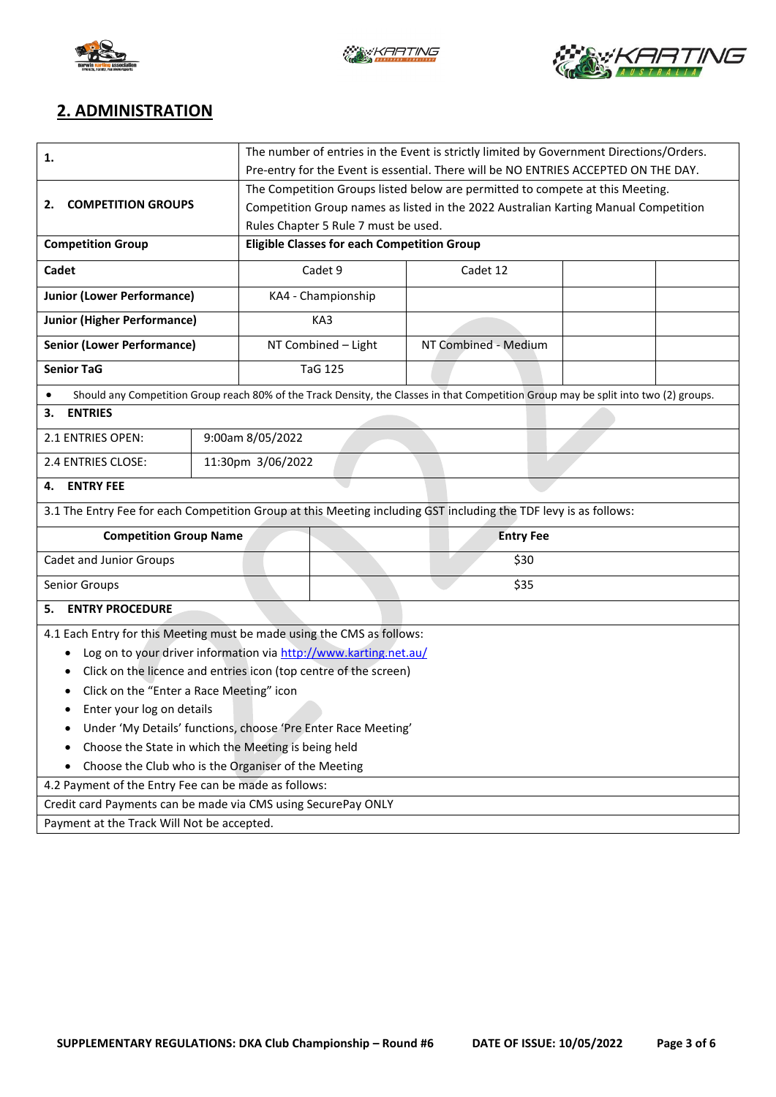





## **2. ADMINISTRATION**

| 1.                                                                                                                                   | The number of entries in the Event is strictly limited by Government Directions/Orders. |                     |                                                                                     |                      |  |  |  |  |
|--------------------------------------------------------------------------------------------------------------------------------------|-----------------------------------------------------------------------------------------|---------------------|-------------------------------------------------------------------------------------|----------------------|--|--|--|--|
|                                                                                                                                      | Pre-entry for the Event is essential. There will be NO ENTRIES ACCEPTED ON THE DAY.     |                     |                                                                                     |                      |  |  |  |  |
|                                                                                                                                      | The Competition Groups listed below are permitted to compete at this Meeting.           |                     |                                                                                     |                      |  |  |  |  |
| <b>COMPETITION GROUPS</b><br>2.                                                                                                      |                                                                                         |                     | Competition Group names as listed in the 2022 Australian Karting Manual Competition |                      |  |  |  |  |
|                                                                                                                                      | Rules Chapter 5 Rule 7 must be used.                                                    |                     |                                                                                     |                      |  |  |  |  |
| <b>Competition Group</b>                                                                                                             |                                                                                         |                     | <b>Eligible Classes for each Competition Group</b>                                  |                      |  |  |  |  |
| Cadet                                                                                                                                |                                                                                         | Cadet 9             |                                                                                     | Cadet 12             |  |  |  |  |
| <b>Junior (Lower Performance)</b>                                                                                                    |                                                                                         | KA4 - Championship  |                                                                                     |                      |  |  |  |  |
| <b>Junior (Higher Performance)</b>                                                                                                   |                                                                                         | KA3                 |                                                                                     |                      |  |  |  |  |
| <b>Senior (Lower Performance)</b>                                                                                                    |                                                                                         | NT Combined - Light |                                                                                     | NT Combined - Medium |  |  |  |  |
| <b>Senior TaG</b>                                                                                                                    |                                                                                         |                     | <b>TaG 125</b>                                                                      |                      |  |  |  |  |
| Should any Competition Group reach 80% of the Track Density, the Classes in that Competition Group may be split into two (2) groups. |                                                                                         |                     |                                                                                     |                      |  |  |  |  |
| <b>ENTRIES</b><br>3.                                                                                                                 |                                                                                         |                     |                                                                                     |                      |  |  |  |  |
| 2.1 ENTRIES OPEN:                                                                                                                    |                                                                                         | 9:00am 8/05/2022    |                                                                                     |                      |  |  |  |  |
| 2.4 ENTRIES CLOSE:                                                                                                                   |                                                                                         |                     | 11:30pm 3/06/2022                                                                   |                      |  |  |  |  |
| <b>ENTRY FEE</b><br>4.                                                                                                               |                                                                                         |                     |                                                                                     |                      |  |  |  |  |
| 3.1 The Entry Fee for each Competition Group at this Meeting including GST including the TDF levy is as follows:                     |                                                                                         |                     |                                                                                     |                      |  |  |  |  |
| <b>Competition Group Name</b>                                                                                                        |                                                                                         | <b>Entry Fee</b>    |                                                                                     |                      |  |  |  |  |
| Cadet and Junior Groups                                                                                                              |                                                                                         |                     | \$30                                                                                |                      |  |  |  |  |
| Senior Groups                                                                                                                        | \$35                                                                                    |                     |                                                                                     |                      |  |  |  |  |
| <b>ENTRY PROCEDURE</b><br>5.                                                                                                         |                                                                                         |                     |                                                                                     |                      |  |  |  |  |
| 4.1 Each Entry for this Meeting must be made using the CMS as follows:                                                               |                                                                                         |                     |                                                                                     |                      |  |  |  |  |
| Log on to your driver information via http://www.karting.net.au/<br>٠                                                                |                                                                                         |                     |                                                                                     |                      |  |  |  |  |
| Click on the licence and entries icon (top centre of the screen)<br>٠                                                                |                                                                                         |                     |                                                                                     |                      |  |  |  |  |
| Click on the "Enter a Race Meeting" icon                                                                                             |                                                                                         |                     |                                                                                     |                      |  |  |  |  |
| Enter your log on details                                                                                                            |                                                                                         |                     |                                                                                     |                      |  |  |  |  |
| Under 'My Details' functions, choose 'Pre Enter Race Meeting'                                                                        |                                                                                         |                     |                                                                                     |                      |  |  |  |  |
| Choose the State in which the Meeting is being held<br>٠                                                                             |                                                                                         |                     |                                                                                     |                      |  |  |  |  |
| Choose the Club who is the Organiser of the Meeting                                                                                  |                                                                                         |                     |                                                                                     |                      |  |  |  |  |
| 4.2 Payment of the Entry Fee can be made as follows:                                                                                 |                                                                                         |                     |                                                                                     |                      |  |  |  |  |
| Credit card Payments can be made via CMS using SecurePay ONLY                                                                        |                                                                                         |                     |                                                                                     |                      |  |  |  |  |
| Payment at the Track Will Not be accepted.                                                                                           |                                                                                         |                     |                                                                                     |                      |  |  |  |  |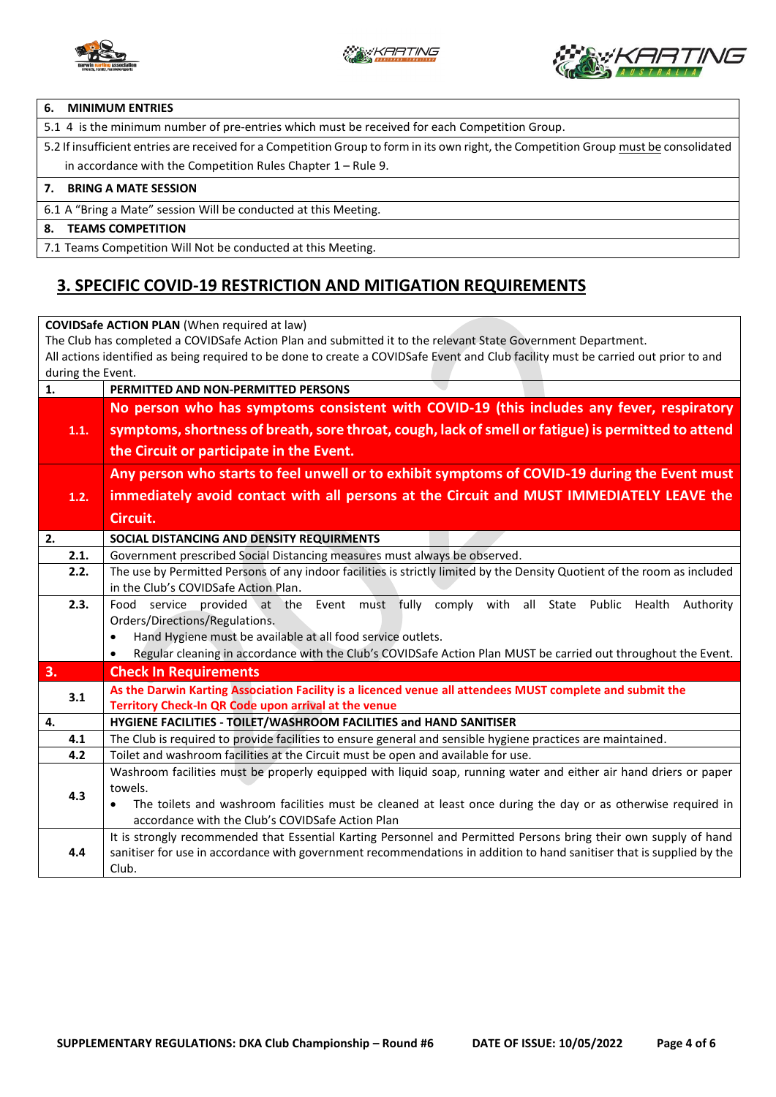



#### **6. MINIMUM ENTRIES**

5.1 4 is the minimum number of pre-entries which must be received for each Competition Group.

5.2 If insufficient entries are received for a Competition Group to form in its own right, the Competition Group must be consolidated in accordance with the Competition Rules Chapter 1 – Rule 9.

#### **7. BRING A MATE SESSION**

6.1 A "Bring a Mate" session Will be conducted at this Meeting.

#### **8. TEAMS COMPETITION**

7.1 Teams Competition Will Not be conducted at this Meeting.

### **3. SPECIFIC COVID-19 RESTRICTION AND MITIGATION REQUIREMENTS**

**COVIDSafe ACTION PLAN** (When required at law) The Club has completed a COVIDSafe Action Plan and submitted it to the relevant State Government Department. All actions identified as being required to be done to create a COVIDSafe Event and Club facility must be carried out prior to and during the Event. **1. PERMITTED AND NON-PERMITTED PERSONS 1.1. No person who has symptoms consistent with COVID-19 (this includes any fever, respiratory symptoms, shortness of breath, sore throat, cough, lack of smell or fatigue) is permitted to attend the Circuit or participate in the Event. 1.2. Any person who starts to feel unwell or to exhibit symptoms of COVID-19 during the Event must immediately avoid contact with all persons at the Circuit and MUST IMMEDIATELY LEAVE the Circuit. 2. SOCIAL DISTANCING AND DENSITY REQUIRMENTS**  2.1. Government prescribed Social Distancing measures must always be observed. **2.2.** The use by Permitted Persons of any indoor facilities is strictly limited by the Density Quotient of the room as included in the Club's COVIDSafe Action Plan. **2.3.** Food service provided at the Event must fully comply with all State Public Health Authority Orders/Directions/Regulations. • Hand Hygiene must be available at all food service outlets. • Regular cleaning in accordance with the Club's COVIDSafe Action Plan MUST be carried out throughout the Event. **3. Check In Requirements 3.1 As the Darwin Karting Association Facility is a licenced venue all attendees MUST complete and submit the Territory Check-In QR Code upon arrival at the venue 4. HYGIENE FACILITIES - TOILET/WASHROOM FACILITIES and HAND SANITISER 4.1** The Club is required to provide facilities to ensure general and sensible hygiene practices are maintained. **4.2** Toilet and washroom facilities at the Circuit must be open and available for use. **4.3** Washroom facilities must be properly equipped with liquid soap, running water and either air hand driers or paper towels. • The toilets and washroom facilities must be cleaned at least once during the day or as otherwise required in accordance with the Club's COVIDSafe Action Plan **4.4** It is strongly recommended that Essential Karting Personnel and Permitted Persons bring their own supply of hand sanitiser for use in accordance with government recommendations in addition to hand sanitiser that is supplied by the Club.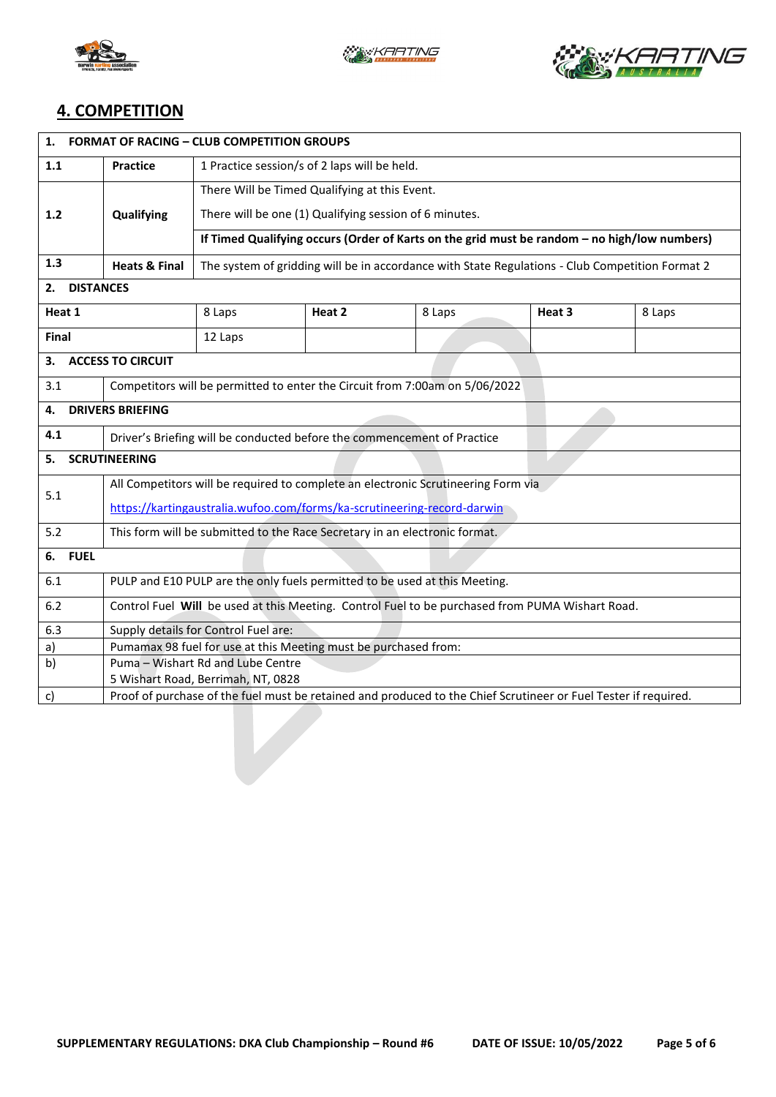





## **4. COMPETITION**

| 1.<br><b>FORMAT OF RACING - CLUB COMPETITION GROUPS</b>                                                               |                                                                                                 |                                                                                                 |        |        |        |        |  |  |
|-----------------------------------------------------------------------------------------------------------------------|-------------------------------------------------------------------------------------------------|-------------------------------------------------------------------------------------------------|--------|--------|--------|--------|--|--|
| 1.1                                                                                                                   | <b>Practice</b>                                                                                 | 1 Practice session/s of 2 laps will be held.                                                    |        |        |        |        |  |  |
|                                                                                                                       |                                                                                                 | There Will be Timed Qualifying at this Event.                                                   |        |        |        |        |  |  |
| $1.2$                                                                                                                 | Qualifying                                                                                      | There will be one (1) Qualifying session of 6 minutes.                                          |        |        |        |        |  |  |
|                                                                                                                       |                                                                                                 | If Timed Qualifying occurs (Order of Karts on the grid must be random - no high/low numbers)    |        |        |        |        |  |  |
| 1.3                                                                                                                   | <b>Heats &amp; Final</b>                                                                        | The system of gridding will be in accordance with State Regulations - Club Competition Format 2 |        |        |        |        |  |  |
| 2.<br><b>DISTANCES</b>                                                                                                |                                                                                                 |                                                                                                 |        |        |        |        |  |  |
| Heat 1                                                                                                                |                                                                                                 | 8 Laps                                                                                          | Heat 2 | 8 Laps | Heat 3 | 8 Laps |  |  |
| Final                                                                                                                 |                                                                                                 | 12 Laps                                                                                         |        |        |        |        |  |  |
| 3.                                                                                                                    | <b>ACCESS TO CIRCUIT</b>                                                                        |                                                                                                 |        |        |        |        |  |  |
| 3.1                                                                                                                   | Competitors will be permitted to enter the Circuit from 7:00am on 5/06/2022                     |                                                                                                 |        |        |        |        |  |  |
| 4.                                                                                                                    | <b>DRIVERS BRIEFING</b>                                                                         |                                                                                                 |        |        |        |        |  |  |
| 4.1                                                                                                                   | Driver's Briefing will be conducted before the commencement of Practice                         |                                                                                                 |        |        |        |        |  |  |
| <b>SCRUTINEERING</b><br>5.                                                                                            |                                                                                                 |                                                                                                 |        |        |        |        |  |  |
|                                                                                                                       | All Competitors will be required to complete an electronic Scrutineering Form via               |                                                                                                 |        |        |        |        |  |  |
| 5.1                                                                                                                   | https://kartingaustralia.wufoo.com/forms/ka-scrutineering-record-darwin                         |                                                                                                 |        |        |        |        |  |  |
| 5.2                                                                                                                   | This form will be submitted to the Race Secretary in an electronic format.                      |                                                                                                 |        |        |        |        |  |  |
| 6. FUEL                                                                                                               |                                                                                                 |                                                                                                 |        |        |        |        |  |  |
| 6.1                                                                                                                   | PULP and E10 PULP are the only fuels permitted to be used at this Meeting.                      |                                                                                                 |        |        |        |        |  |  |
| 6.2                                                                                                                   | Control Fuel Will be used at this Meeting. Control Fuel to be purchased from PUMA Wishart Road. |                                                                                                 |        |        |        |        |  |  |
| 6.3                                                                                                                   | Supply details for Control Fuel are:                                                            |                                                                                                 |        |        |        |        |  |  |
| a)                                                                                                                    |                                                                                                 | Pumamax 98 fuel for use at this Meeting must be purchased from:                                 |        |        |        |        |  |  |
| b)                                                                                                                    |                                                                                                 | Puma - Wishart Rd and Lube Centre                                                               |        |        |        |        |  |  |
|                                                                                                                       | 5 Wishart Road, Berrimah, NT, 0828                                                              |                                                                                                 |        |        |        |        |  |  |
| Proof of purchase of the fuel must be retained and produced to the Chief Scrutineer or Fuel Tester if required.<br>c) |                                                                                                 |                                                                                                 |        |        |        |        |  |  |